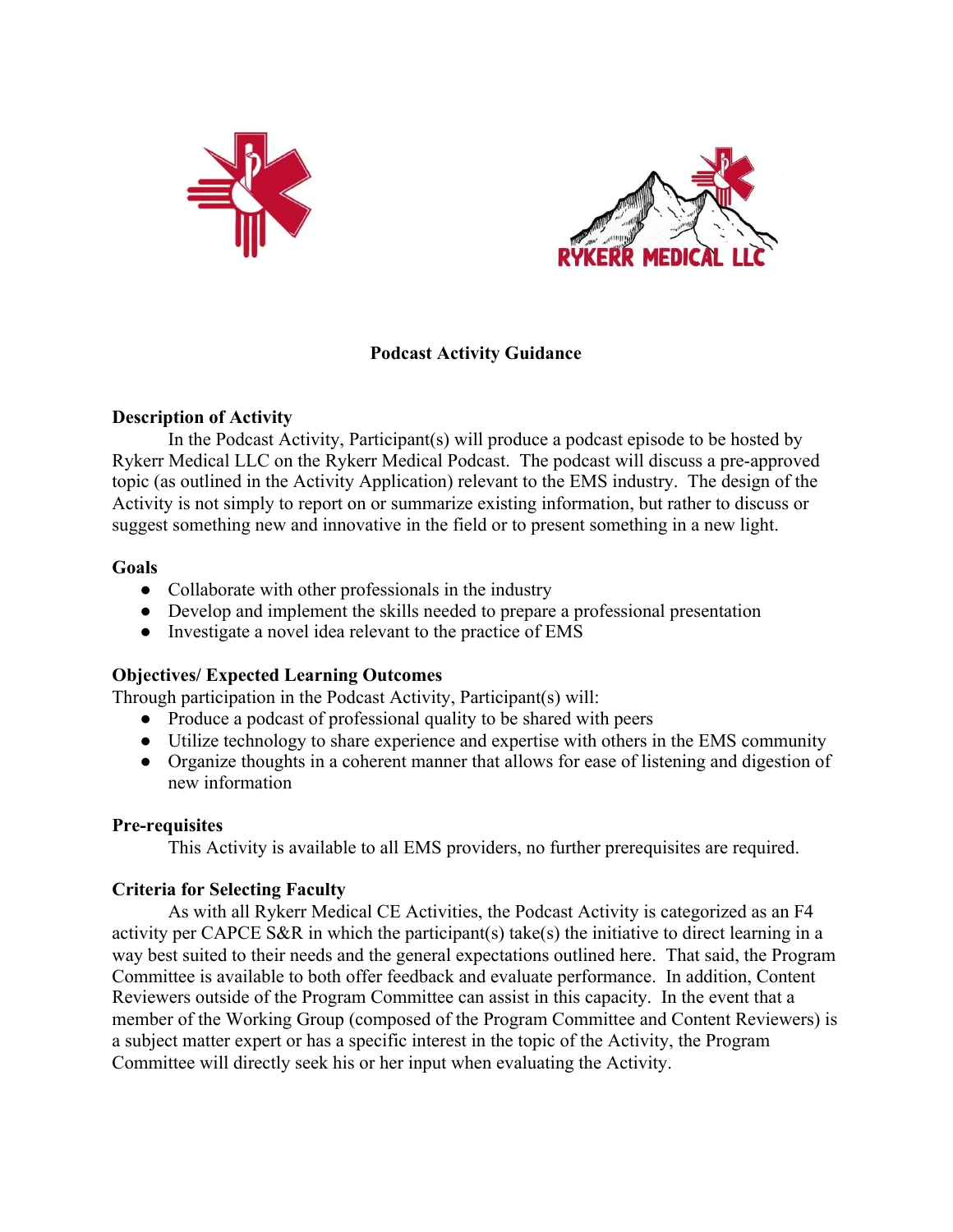



## **Podcast Activity Guidance**

## **Description of Activity**

In the Podcast Activity, Participant(s) will produce a podcast episode to be hosted by Rykerr Medical LLC on the Rykerr Medical Podcast. The podcast will discuss a pre-approved topic (as outlined in the Activity Application) relevant to the EMS industry. The design of the Activity is not simply to report on or summarize existing information, but rather to discuss or suggest something new and innovative in the field or to present something in a new light.

### **Goals**

- Collaborate with other professionals in the industry
- Develop and implement the skills needed to prepare a professional presentation
- Investigate a novel idea relevant to the practice of EMS

# **Objectives/ Expected Learning Outcomes**

Through participation in the Podcast Activity, Participant(s) will:

- **●** Produce a podcast of professional quality to be shared with peers
- **●** Utilize technology to share experience and expertise with others in the EMS community
- **●** Organize thoughts in a coherent manner that allows for ease of listening and digestion of new information

### **Pre-requisites**

This Activity is available to all EMS providers, no further prerequisites are required.

# **Criteria for Selecting Faculty**

As with all Rykerr Medical CE Activities, the Podcast Activity is categorized as an F4 activity per CAPCE S&R in which the participant(s) take(s) the initiative to direct learning in a way best suited to their needs and the general expectations outlined here. That said, the Program Committee is available to both offer feedback and evaluate performance. In addition, Content Reviewers outside of the Program Committee can assist in this capacity. In the event that a member of the Working Group (composed of the Program Committee and Content Reviewers) is a subject matter expert or has a specific interest in the topic of the Activity, the Program Committee will directly seek his or her input when evaluating the Activity.